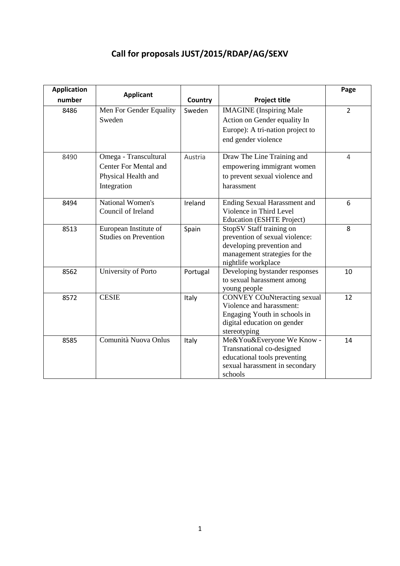# **Call for proposals JUST/2015/RDAP/AG/SEXV**

| <b>Application</b> |                                                                                      |          |                                                                                                                                                 | Page           |
|--------------------|--------------------------------------------------------------------------------------|----------|-------------------------------------------------------------------------------------------------------------------------------------------------|----------------|
| number             | <b>Applicant</b>                                                                     | Country  | <b>Project title</b>                                                                                                                            |                |
| 8486               | Men For Gender Equality<br>Sweden                                                    | Sweden   | <b>IMAGINE</b> (Inspiring Male<br>Action on Gender equality In<br>Europe): A tri-nation project to<br>end gender violence                       | $\overline{2}$ |
| 8490               | Omega - Transcultural<br>Center For Mental and<br>Physical Health and<br>Integration | Austria  | Draw The Line Training and<br>empowering immigrant women<br>to prevent sexual violence and<br>harassment                                        | 4              |
| 8494               | National Women's<br>Council of Ireland                                               | Ireland  | <b>Ending Sexual Harassment and</b><br>Violence in Third Level<br><b>Education (ESHTE Project)</b>                                              | 6              |
| 8513               | European Institute of<br><b>Studies on Prevention</b>                                | Spain    | StopSV Staff training on<br>prevention of sexual violence:<br>developing prevention and<br>management strategies for the<br>nightlife workplace | 8              |
| 8562               | University of Porto                                                                  | Portugal | Developing bystander responses<br>to sexual harassment among<br>young people                                                                    | 10             |
| 8572               | <b>CESIE</b>                                                                         | Italy    | <b>CONVEY COuNteracting sexual</b><br>Violence and harassment:<br>Engaging Youth in schools in<br>digital education on gender<br>stereotyping   | 12             |
| 8585               | Comunità Nuova Onlus                                                                 | Italy    | Me&You&Everyone We Know -<br>Transnational co-designed<br>educational tools preventing<br>sexual harassment in secondary<br>schools             | 14             |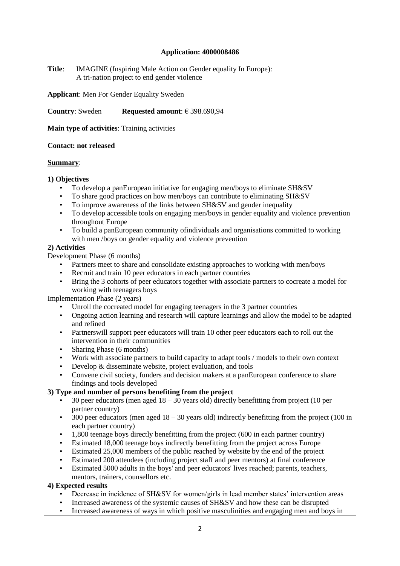**Title**: IMAGINE (Inspiring Male Action on Gender equality In Europe): A tri-nation project to end gender violence

**Applicant**: Men For Gender Equality Sweden

**Country**: Sweden **Requested amount**: € 398.690,94

**Main type of activities**: Training activities

#### **Contact: not released**

# **Summary**:

# **1) Objectives**

- To develop a panEuropean initiative for engaging men/boys to eliminate SH&SV
- To share good practices on how men/boys can contribute to eliminating SH&SV
- To improve awareness of the links between SH&SV and gender inequality
- To develop accessible tools on engaging men/boys in gender equality and violence prevention throughout Europe
- To build a panEuropean community ofindividuals and organisations committed to working with men /boys on gender equality and violence prevention

# **2) Activities**

Development Phase (6 months)

- Partners meet to share and consolidate existing approaches to working with men/boys
- Recruit and train 10 peer educators in each partner countries
- Bring the 3 cohorts of peer educators together with associate partners to cocreate a model for working with teenagers boys

Implementation Phase (2 years)

- Unroll the cocreated model for engaging teenagers in the 3 partner countries
- Ongoing action learning and research will capture learnings and allow the model to be adapted and refined
- Partners will support peer educators will train 10 other peer educators each to roll out the intervention in their communities
- Sharing Phase (6 months)
- Work with associate partners to build capacity to adapt tools / models to their own context
- Develop & disseminate website, project evaluation, and tools
- Convene civil society, funders and decision makers at a panEuropean conference to share findings and tools developed

# **3) Type and number of persons benefiting from the project**

- 30 peer educators (men aged  $18 30$  years old) directly benefitting from project (10 per partner country)
- $\cdot$  300 peer educators (men aged 18 30 years old) indirectly benefitting from the project (100 in each partner country)
- 1,800 teenage boys directly benefitting from the project (600 in each partner country)
- Estimated 18,000 teenage boys indirectly benefitting from the project across Europe
- Estimated 25,000 members of the public reached by website by the end of the project
- Estimated 200 attendees (including project staff and peer mentors) at final conference
- Estimated 5000 adults in the boys' and peer educators' lives reached; parents, teachers, mentors, trainers, counsellors etc.

# **4) Expected results**

- Decrease in incidence of SH&SV for women/girls in lead member states' intervention areas
- Increased awareness of the systemic causes of SH&SV and how these can be disrupted
- Increased awareness of ways in which positive masculinities and engaging men and boys in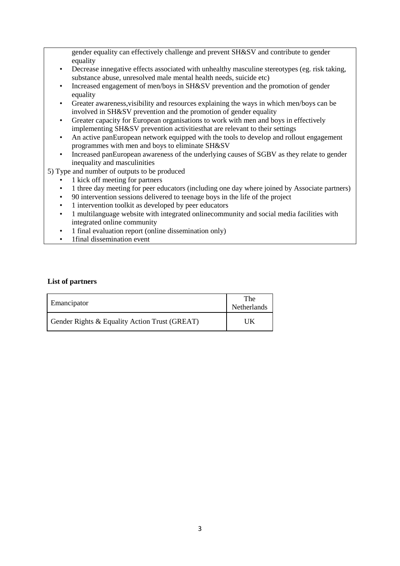gender equality can effectively challenge and prevent SH&SV and contribute to gender equality

- Decrease innegative effects associated with unhealthy masculine stereotypes (eg. risk taking, substance abuse, unresolved male mental health needs, suicide etc)
- Increased engagement of men/boys in SH&SV prevention and the promotion of gender equality
- Greater awareness,visibility and resources explaining the ways in which men/boys can be involved in SH&SV prevention and the promotion of gender equality
- Greater capacity for European organisations to work with men and boys in effectively implementing SH&SV prevention activitiesthat are relevant to their settings
- An active panEuropean network equipped with the tools to develop and rollout engagement programmes with men and boys to eliminate SH&SV
- Increased panEuropean awareness of the underlying causes of SGBV as they relate to gender inequality and masculinities
- 5) Type and number of outputs to be produced
	- 1 kick off meeting for partners
	- 1 three day meeting for peer educators (including one day where joined by Associate partners)
	- 90 intervention sessions delivered to teenage boys in the life of the project
	- 1 intervention toolkit as developed by peer educators
	- 1 multilanguage website with integrated onlinecommunity and social media facilities with integrated online community
	- 1 final evaluation report (online dissemination only)
	- 1final dissemination event

| Emancipator                                   | <b>The</b><br>Netherlands |
|-----------------------------------------------|---------------------------|
| Gender Rights & Equality Action Trust (GREAT) | JK                        |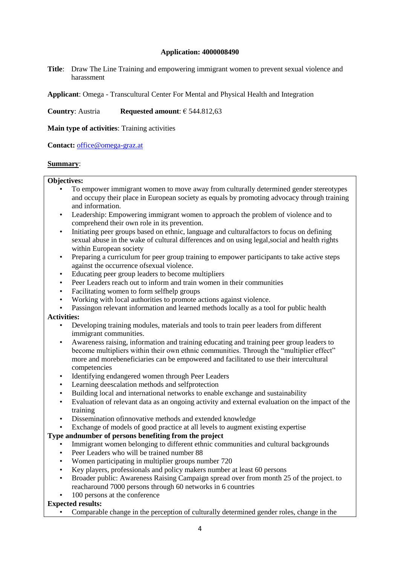**Title**: Draw The Line Training and empowering immigrant women to prevent sexual violence and harassment

**Applicant**: Omega - Transcultural Center For Mental and Physical Health and Integration

**Country**: Austria **Requested amount**: € 544.812,63

**Main type of activities**: Training activities

**Contact:** [office@omega-graz.at](mailto:office@omega-graz.at)

# **Summary**:

## **Objectives:**

- To empower immigrant women to move away from culturally determined gender stereotypes and occupy their place in European society as equals by promoting advocacy through training and information.
- Leadership: Empowering immigrant women to approach the problem of violence and to comprehend their own role in its prevention.
- Initiating peer groups based on ethnic, language and culturalfactors to focus on defining sexual abuse in the wake of cultural differences and on using legal,social and health rights within European society
- Preparing a curriculum for peer group training to empower participants to take active steps against the occurrence ofsexual violence.
- Educating peer group leaders to become multipliers
- Peer Leaders reach out to inform and train women in their communities
- Facilitating women to form selfhelp groups
- Working with local authorities to promote actions against violence.
- Passingon relevant information and learned methods locally as a tool for public health

#### **Activities:**

- Developing training modules, materials and tools to train peer leaders from different immigrant communities.
- Awareness raising, information and training educating and training peer group leaders to become multipliers within their own ethnic communities. Through the "multiplier effect" more and morebeneficiaries can be empowered and facilitated to use their intercultural competencies
- Identifying endangered women through Peer Leaders
- Learning deescalation methods and selfprotection
- Building local and international networks to enable exchange and sustainability
- Evaluation of relevant data as an ongoing activity and external evaluation on the impact of the training
- Dissemination ofinnovative methods and extended knowledge
- Exchange of models of good practice at all levels to augment existing expertise

# **Type andnumber of persons benefiting from the project**

- Immigrant women belonging to different ethnic communities and cultural backgrounds
- Peer Leaders who will be trained number 88
- Women participating in multiplier groups number 720
- Key players, professionals and policy makers number at least 60 persons
- Broader public: Awareness Raising Campaign spread over from month 25 of the project. to reacharound 7000 persons through 60 networks in 6 countries
- 100 persons at the conference

#### **Expected results:**

• Comparable change in the perception of culturally determined gender roles, change in the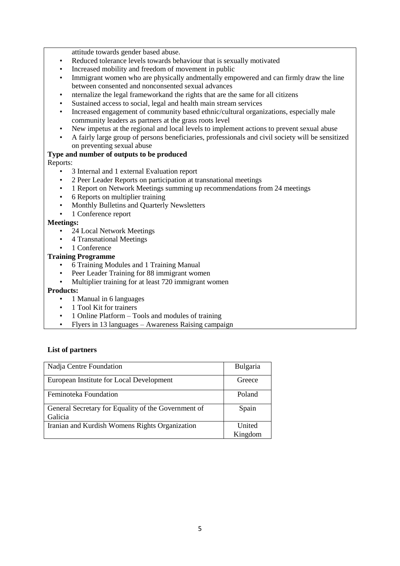attitude towards gender based abuse.

- Reduced tolerance levels towards behaviour that is sexually motivated
- Increased mobility and freedom of movement in public
- Immigrant women who are physically andmentally empowered and can firmly draw the line between consented and nonconsented sexual advances
- nternalize the legal frameworkand the rights that are the same for all citizens
- Sustained access to social, legal and health main stream services
- Increased engagement of community based ethnic/cultural organizations, especially male community leaders as partners at the grass roots level
- New impetus at the regional and local levels to implement actions to prevent sexual abuse
- A fairly large group of persons beneficiaries, professionals and civil society will be sensitized on preventing sexual abuse

# **Type and number of outputs to be produced**

#### Reports:

- 3 Internal and 1 external Evaluation report
- 2 Peer Leader Reports on participation at transnational meetings
- 1 Report on Network Meetings summing up recommendations from 24 meetings
- 6 Reports on multiplier training
- Monthly Bulletins and Quarterly Newsletters
- 1 Conference report

#### **Meetings:**

- 24 Local Network Meetings
- 4 Transnational Meetings
- 1 Conference

## **Training Programme**

- 6 Training Modules and 1 Training Manual
- Peer Leader Training for 88 immigrant women
- Multiplier training for at least 720 immigrant women

#### **Products:**

- 1 Manual in 6 languages
- 1 Tool Kit for trainers
- 1 Online Platform Tools and modules of training
- Flyers in 13 languages Awareness Raising campaign

| Nadja Centre Foundation                                        | Bulgaria          |
|----------------------------------------------------------------|-------------------|
| European Institute for Local Development                       | Greece            |
| Feminoteka Foundation                                          | Poland            |
| General Secretary for Equality of the Government of<br>Galicia | Spain             |
| Iranian and Kurdish Womens Rights Organization                 | United<br>Kingdom |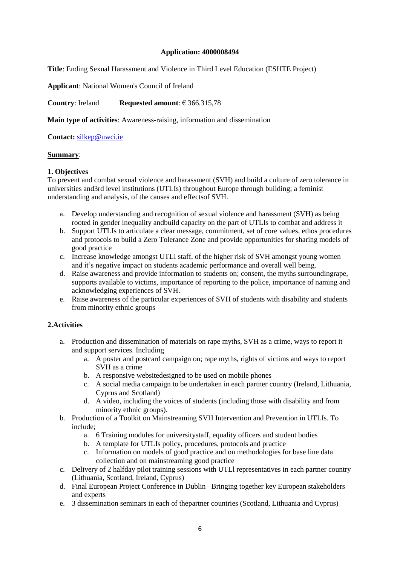**Title**: Ending Sexual Harassment and Violence in Third Level Education (ESHTE Project)

**Applicant**: National Women's Council of Ireland

**Country**: Ireland **Requested amount**: € 366.315,78

**Main type of activities**: Awareness-raising, information and dissemination

**Contact:** [silkep@uwci.ie](mailto:silkep@uwci.ie)

# **Summary**:

#### **1. Objectives**

To prevent and combat sexual violence and harassment (SVH) and build a culture of zero tolerance in universities and3rd level institutions (UTLIs) throughout Europe through building; a feminist understanding and analysis, of the causes and effectsof SVH.

- a. Develop understanding and recognition of sexual violence and harassment (SVH) as being rooted in gender inequality andbuild capacity on the part of UTLIs to combat and address it
- b. Support UTLIs to articulate a clear message, commitment, set of core values, ethos procedures and protocols to build a Zero Tolerance Zone and provide opportunities for sharing models of good practice
- c. Increase knowledge amongst UTLI staff, of the higher risk of SVH amongst young women and it's negative impact on students academic performance and overall well being.
- d. Raise awareness and provide information to students on; consent, the myths surroundingrape, supports available to victims, importance of reporting to the police, importance of naming and acknowledging experiences of SVH.
- e. Raise awareness of the particular experiences of SVH of students with disability and students from minority ethnic groups

# **2.Activities**

- a. Production and dissemination of materials on rape myths, SVH as a crime, ways to report it and support services. Including
	- a. A poster and postcard campaign on; rape myths, rights of victims and ways to report SVH as a crime
	- b. A responsive websitedesigned to be used on mobile phones
	- c. A social media campaign to be undertaken in each partner country (Ireland, Lithuania, Cyprus and Scotland)
	- d. A video, including the voices of students (including those with disability and from minority ethnic groups).
- b. Production of a Toolkit on Mainstreaming SVH Intervention and Prevention in UTLIs. To include;
	- a. 6 Training modules for universitystaff, equality officers and student bodies
	- b. A template for UTLIs policy, procedures, protocols and practice
	- c. Information on models of good practice and on methodologies for base line data collection and on mainstreaming good practice
- c. Delivery of 2 halfday pilot training sessions with UTLl representatives in each partner country (Lithuania, Scotland, Ireland, Cyprus)
- d. Final European Project Conference in Dublin– Bringing together key European stakeholders and experts
- e. 3 dissemination seminars in each of thepartner countries (Scotland, Lithuania and Cyprus)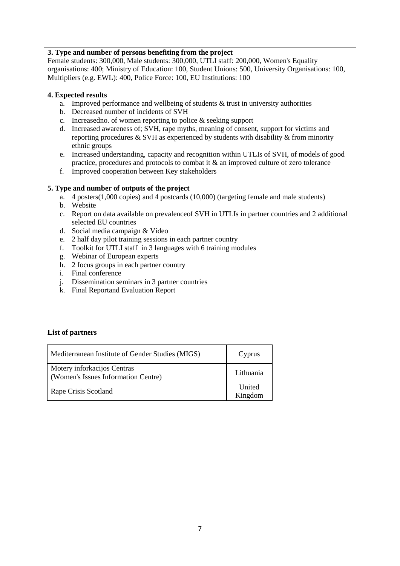# **3. Type and number of persons benefiting from the project**

Female students: 300,000, Male students: 300,000, UTLI staff: 200,000, Women's Equality organisations: 400; Ministry of Education: 100, Student Unions: 500, University Organisations: 100, Multipliers (e.g. EWL): 400, Police Force: 100, EU Institutions: 100

# **4. Expected results**

- a. Improved performance and wellbeing of students & trust in university authorities
- b. Decreased number of incidents of SVH
- c. Increasedno. of women reporting to police & seeking support
- d. Increased awareness of; SVH, rape myths, meaning of consent, support for victims and reporting procedures & SVH as experienced by students with disability & from minority ethnic groups
- e. Increased understanding, capacity and recognition within UTLIs of SVH, of models of good practice, procedures and protocols to combat it & an improved culture of zero tolerance
- f. Improved cooperation between Key stakeholders

# **5. Type and number of outputs of the project**

- a. 4 posters(1,000 copies) and 4 postcards (10,000) (targeting female and male students)
- b. Website
- c. Report on data available on prevalenceof SVH in UTLIs in partner countries and 2 additional selected EU countries
- d. Social media campaign & Video
- e. 2 half day pilot training sessions in each partner country
- f. Toolkit for UTLI staff in 3 languages with 6 training modules
- g. Webinar of European experts
- h. 2 focus groups in each partner country
- i. Final conference
- j. Dissemination seminars in 3 partner countries
- k. Final Reportand Evaluation Report

| Mediterranean Institute of Gender Studies (MIGS)                   | Cyprus            |
|--------------------------------------------------------------------|-------------------|
| Motery inforkacijos Centras<br>(Women's Issues Information Centre) | Lithuania         |
| Rape Crisis Scotland                                               | United<br>Kingdom |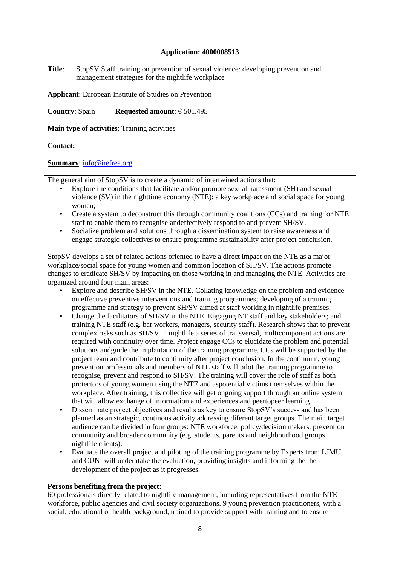**Title**: StopSV Staff training on prevention of sexual violence: developing prevention and management strategies for the nightlife workplace

**Applicant**: European Institute of Studies on Prevention

**Country**: Spain **Requested amount**: € 501.495

**Main type of activities**: Training activities

# **Contact:**

# **Summary**: [info@irefrea.org](mailto:info@irefrea.org)

The general aim of StopSV is to create a dynamic of intertwined actions that:

- Explore the conditions that facilitate and/or promote sexual harassment (SH) and sexual violence (SV) in the nighttime economy (NTE): a key workplace and social space for young women;
- Create a system to deconstruct this through community coalitions (CCs) and training for NTE staff to enable them to recognise andeffectively respond to and prevent SH/SV.
- Socialize problem and solutions through a dissemination system to raise awareness and engage strategic collectives to ensure programme sustainability after project conclusion.

StopSV develops a set of related actions oriented to have a direct impact on the NTE as a major workplace/social space for young women and common location of SH/SV. The actions promote changes to eradicate SH/SV by impacting on those working in and managing the NTE. Activities are organized around four main areas:

- Explore and describe SH/SV in the NTE. Collating knowledge on the problem and evidence on effective preventive interventions and training programmes; developing of a training programme and strategy to prevent SH/SV aimed at staff working in nightlife premises.
- Change the facilitators of SH/SV in the NTE. Engaging NT staff and key stakeholders; and training NTE staff (e.g. bar workers, managers, security staff). Research shows that to prevent complex risks such as SH/SV in nightlife a series of transversal, multicomponent actions are required with continuity over time. Project engage CCs to elucidate the problem and potential solutions andguide the implantation of the training programme. CCs will be supported by the project team and contribute to continuity after project conclusion. In the continuum, young prevention professionals and members of NTE staff will pilot the training programme to recognise, prevent and respond to SH/SV. The training will cover the role of staff as both protectors of young women using the NTE and aspotential victims themselves within the workplace. After training, this collective will get ongoing support through an online system that will allow exchange of information and experiences and peertopeer learning.
- Disseminate project objectives and results as key to ensure StopSV's success and has been planned as an strategic, continous activity addressing diferent target groups. The main target audience can be divided in four groups: NTE workforce, policy/decision makers, prevention community and broader community (e.g. students, parents and neighbourhood groups, nightlife clients).
- Evaluate the overall project and piloting of the training programme by Experts from LJMU and CUNI will underatake the evaluation, providing insights and informing the the development of the project as it progresses.

#### **Persons benefiting from the project:**

60 professionals directly related to nightlife management, including representatives from the NTE workforce, public agencies and civil society organizations. 9 young prevention practitioners, with a social, educational or health background, trained to provide support with training and to ensure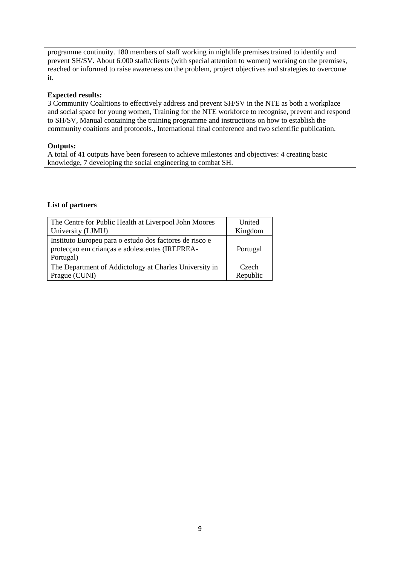programme continuity. 180 members of staff working in nightlife premises trained to identify and prevent SH/SV. About 6.000 staff/clients (with special attention to women) working on the premises, reached or informed to raise awareness on the problem, project objectives and strategies to overcome it.

# **Expected results:**

3 Community Coalitions to effectively address and prevent SH/SV in the NTE as both a workplace and social space for young women, Training for the NTE workforce to recognise, prevent and respond to SH/SV, Manual containing the training programme and instructions on how to establish the community coaitions and protocols., International final conference and two scientific publication.

# **Outputs:**

A total of 41 outputs have been foreseen to achieve milestones and objectives: 4 creating basic knowledge, 7 developing the social engineering to combat SH.

| The Centre for Public Health at Liverpool John Moores                                                                  | United            |
|------------------------------------------------------------------------------------------------------------------------|-------------------|
| University (LJMU)                                                                                                      | Kingdom           |
| Instituto Europeu para o estudo dos factores de risco e<br>protecção em crianças e adolescentes (IREFREA-<br>Portugal) | Portugal          |
| The Department of Addictology at Charles University in<br>Prague (CUNI)                                                | Czech<br>Republic |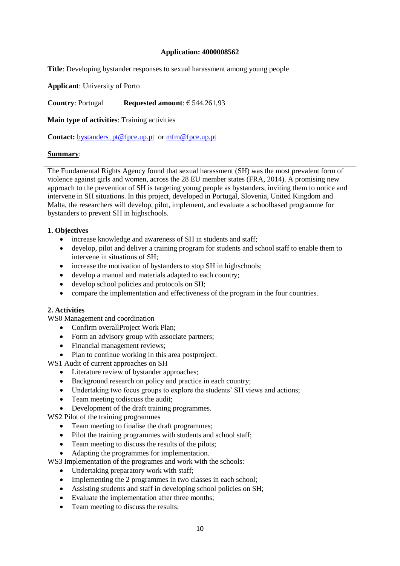**Title**: Developing bystander responses to sexual harassment among young people

**Applicant**: University of Porto

**Country**: Portugal **Requested amount**: € 544.261,93

**Main type of activities**: Training activities

**Contact:** bystanders pt@fpce.up.pt or [mfm@fpce.up.pt](mailto:mfm@fpce.up.pt)

# **Summary**:

The Fundamental Rights Agency found that sexual harassment (SH) was the most prevalent form of violence against girls and women, across the 28 EU member states (FRA, 2014). A promising new approach to the prevention of SH is targeting young people as bystanders, inviting them to notice and intervene in SH situations. In this project, developed in Portugal, Slovenia, United Kingdom and Malta, the researchers will develop, pilot, implement, and evaluate a schoolbased programme for bystanders to prevent SH in highschools.

# **1. Objectives**

- increase knowledge and awareness of SH in students and staff;
- develop, pilot and deliver a training program for students and school staff to enable them to intervene in situations of SH;
- increase the motivation of bystanders to stop SH in highschools;
- develop a manual and materials adapted to each country;
- develop school policies and protocols on SH:
- compare the implementation and effectiveness of the program in the four countries.

# **2. Activities**

WS0 Management and coordination

- Confirm overallProject Work Plan;
- Form an advisory group with associate partners;
- Financial management reviews;
- Plan to continue working in this area postproject.

WS1 Audit of current approaches on SH

- Literature review of bystander approaches:
- Background research on policy and practice in each country;
- Undertaking two focus groups to explore the students' SH views and actions;
- Team meeting todiscuss the audit;
- Development of the draft training programmes.

WS2 Pilot of the training programmes

- Team meeting to finalise the draft programmes;
- Pilot the training programmes with students and school staff;
- Team meeting to discuss the results of the pilots;
- Adapting the programmes for implementation.

WS3 Implementation of the programes and work with the schools:

- Undertaking preparatory work with staff;
- Implementing the 2 programmes in two classes in each school;
- Assisting students and staff in developing school policies on SH;
- Evaluate the implementation after three months;
- Team meeting to discuss the results;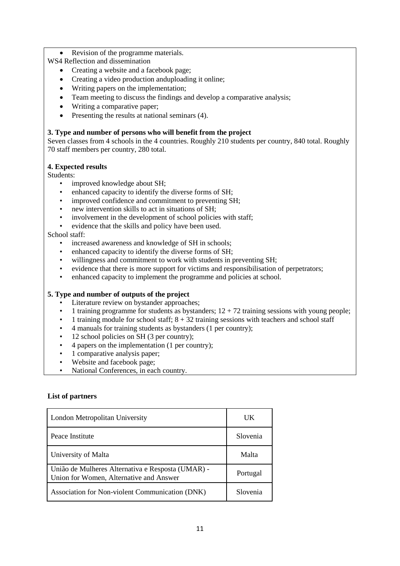Revision of the programme materials.

WS4 Reflection and dissemination

- Creating a website and a facebook page;
- Creating a video production anduploading it online;
- Writing papers on the implementation;
- Team meeting to discuss the findings and develop a comparative analysis;
- Writing a comparative paper;
- $\bullet$  Presenting the results at national seminars (4).

## **3. Type and number of persons who will benefit from the project**

Seven classes from 4 schools in the 4 countries. Roughly 210 students per country, 840 total. Roughly 70 staff members per country, 280 total.

#### **4. Expected results**

Students:

- improved knowledge about SH;
- enhanced capacity to identify the diverse forms of SH;
- improved confidence and commitment to preventing SH;
- new intervention skills to act in situations of SH;
- involvement in the development of school policies with staff:
- evidence that the skills and policy have been used.

#### School staff:

- increased awareness and knowledge of SH in schools;
- enhanced capacity to identify the diverse forms of SH;
- willingness and commitment to work with students in preventing SH;
- evidence that there is more support for victims and responsibilisation of perpetrators;
- enhanced capacity to implement the programme and policies at school.

# **5. Type and number of outputs of the project**

- Literature review on bystander approaches;
- 1 training programme for students as bystanders;  $12 + 72$  training sessions with young people;
- 1 training module for school staff;  $8 + 32$  training sessions with teachers and school staff
- 4 manuals for training students as bystanders (1 per country);
- 12 school policies on SH (3 per country);
- 4 papers on the implementation (1 per country);
- 1 comparative analysis paper;
- Website and facebook page:
- National Conferences, in each country.

| London Metropolitan University                                                               | UK       |
|----------------------------------------------------------------------------------------------|----------|
| Peace Institute                                                                              | Slovenia |
| University of Malta                                                                          | Malta    |
| União de Mulheres Alternativa e Resposta (UMAR) -<br>Union for Women, Alternative and Answer | Portugal |
| Association for Non-violent Communication (DNK)                                              | Slovenia |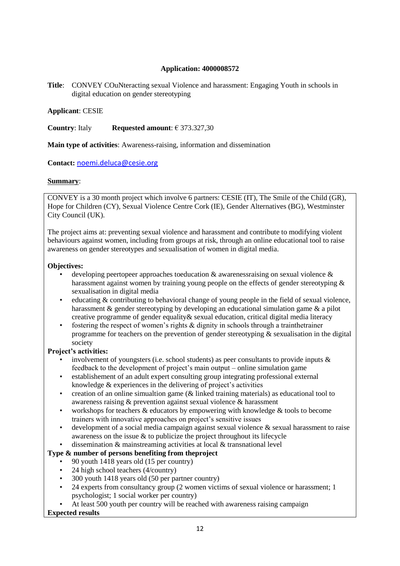**Title**: CONVEY COuNteracting sexual Violence and harassment: Engaging Youth in schools in digital education on gender stereotyping

# **Applicant**: CESIE

**Country**: Italy **Requested amount**: € 373.327,30

**Main type of activities**: Awareness-raising, information and dissemination

**Contact:** [noemi.deluca@cesie.org](mailto:noemi.deluca@cesie.org)

# **Summary**:

CONVEY is a 30 month project which involve 6 partners: CESIE (IT), The Smile of the Child (GR), Hope for Children (CY), Sexual Violence Centre Cork (IE), Gender Alternatives (BG), Westminster City Council (UK).

The project aims at: preventing sexual violence and harassment and contribute to modifying violent behaviours against women, including from groups at risk, through an online educational tool to raise awareness on gender stereotypes and sexualisation of women in digital media.

#### **Objectives:**

- developing peertopeer approaches toeducation  $\&$  awarenessraising on sexual violence  $\&$ harassment against women by training young people on the effects of gender stereotyping  $\&$ sexualisation in digital media
- educating & contributing to behavioral change of young people in the field of sexual violence, harassment & gender stereotyping by developing an educational simulation game & a pilot creative programme of gender equality & sexual education, critical digital media literacy
- fostering the respect of women's rights & dignity in schools through a trainthetrainer programme for teachers on the prevention of gender stereotyping & sexualisation in the digital society

#### **Project's activities:**

- involvement of youngsters (i.e. school students) as peer consultants to provide inputs  $\&$ feedback to the development of project's main output – online simulation game
- establishement of an adult expert consulting group integrating professional external knowledge & experiences in the delivering of project's activities
- creation of an online simualtion game (& linked training materials) as educational tool to awareness raising & prevention against sexual violence & harassment
- workshops for teachers & educators by empowering with knowledge & tools to become trainers with innovative approaches on project's sensitive issues
- development of a social media campaign against sexual violence  $\&$  sexual harassment to raise awareness on the issue  $\&$  to publicize the project throughout its lifecycle
- dissemination & mainstreaming activities at local & transnational level

# **Type & number of persons benefiting from theproject**

- 90 youth 1418 years old (15 per country)
- 24 high school teachers (4/country)
- 300 youth 1418 years old (50 per partner country)
- 24 experts from consultancy group (2 women victims of sexual violence or harassment; 1 psychologist; 1 social worker per country)
- At least 500 youth per country will be reached with awareness raising campaign

# **Expected results**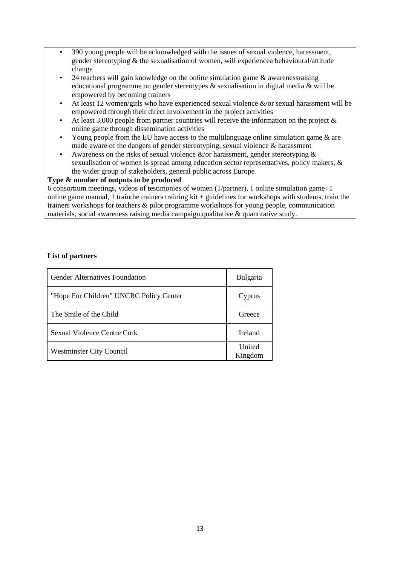- 390 young people will be acknowledged with the issues of sexual violence, harassment, gender stereotyping  $&$  the sexualisation of women, will experience a behavioural/attitude change
- 24 teachers will gain knowledge on the online simulation game  $\&$  awarenessraising educational programme on gender stereotypes & sexualisation in digital media & will be empowered by becoming trainers
- At least 12 women/girls who have experienced sexual violence  $\&$ /or sexual harassment will be empowered through their direct involvement in the project activities
- At least 3,000 people from partner countries will receive the information on the project  $\&$ online game through dissemination activities
- Young people from the EU have access to the multilanguage online simulation game & are made aware of the dangers of gender stereotyping, sexual violence & harassment
- Awareness on the risks of sexual violence  $\&$ /or harassment, gender stereotyping  $\&$ sexualisation of women is spread among education sector representatives, policy makers, & the wider group of stakeholders, general public across Europe

# **Type & number of outputs to be produced**

6 consortium meetings, videos of testimonies of women (1/partner), 1 online simulation game+1 online game manual, 1 trainthe trainers training kit + guidelines for workshops with students, train the trainers workshops for teachers & pilot programme workshops for young people, communication materials, social awareness raising media campaign,qualitative & quantitative study.

| <b>Gender Alternatives Foundation</b>   | <b>Bulgaria</b>   |
|-----------------------------------------|-------------------|
| "Hope For Children" UNCRC Policy Center | Cyprus            |
| The Smile of the Child                  | Greece            |
| Sexual Violence Centre Cork             | Ireland           |
| <b>Westminster City Council</b>         | United<br>Kingdom |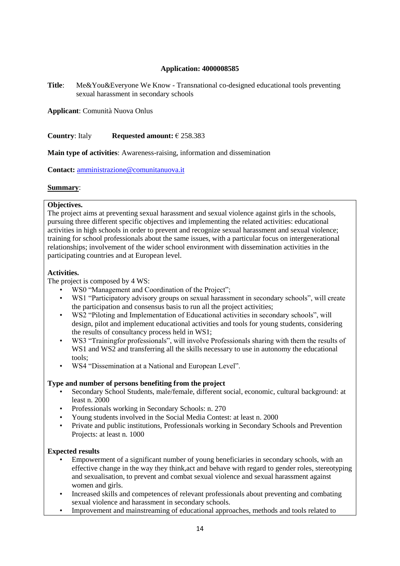**Title**: Me&You&Everyone We Know - Transnational co-designed educational tools preventing sexual harassment in secondary schools

**Applicant**: Comunità Nuova Onlus

**Country**: Italy **Requested amount:** € 258.383

**Main type of activities**: Awareness-raising, information and dissemination

**Contact:** [amministrazione@comunitanuova.it](mailto:amministrazione@comunitanuova.it)

# **Summary**:

# **Objectives.**

The project aims at preventing sexual harassment and sexual violence against girls in the schools, pursuing three different specific objectives and implementing the related activities: educational activities in high schools in order to prevent and recognize sexual harassment and sexual violence; training for school professionals about the same issues, with a particular focus on intergenerational relationships; involvement of the wider school environment with dissemination activities in the participating countries and at European level.

# **Activities.**

The project is composed by 4 WS:

- WS0 "Management and Coordination of the Project";
- WS1 "Participatory advisory groups on sexual harassment in secondary schools", will create the participation and consensus basis to run all the project activities;
- WS2 "Piloting and Implementation of Educational activities in secondary schools", will design, pilot and implement educational activities and tools for young students, considering the results of consultancy process held in WS1;
- WS3 "Trainingfor professionals", will involve Professionals sharing with them the results of WS1 and WS2 and transferring all the skills necessary to use in autonomy the educational tools;
- WS4 "Dissemination at a National and European Level".

# **Type and number of persons benefiting from the project**

- Secondary School Students, male/female, different social, economic, cultural background: at least n. 2000
- Professionals working in Secondary Schools: n. 270
- Young students involved in the Social Media Contest: at least n. 2000
- Private and public institutions, Professionals working in Secondary Schools and Prevention Projects: at least n. 1000

#### **Expected results**

- Empowerment of a significant number of young beneficiaries in secondary schools, with an effective change in the way they think,act and behave with regard to gender roles, stereotyping and sexualisation, to prevent and combat sexual violence and sexual harassment against women and girls.
- Increased skills and competences of relevant professionals about preventing and combating sexual violence and harassment in secondary schools.
- Improvement and mainstreaming of educational approaches, methods and tools related to